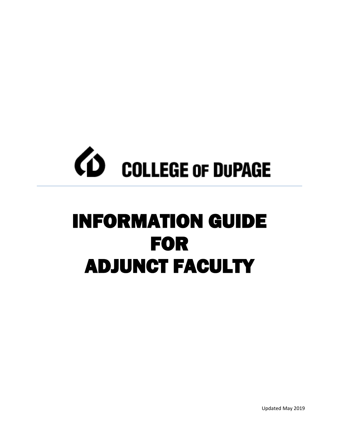

# INFORMATION GUIDE FOR ADJUNCT FACULTY

Updated May 2019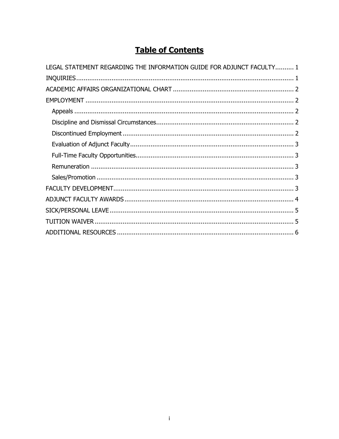# **Table of Contents**

| LEGAL STATEMENT REGARDING THE INFORMATION GUIDE FOR ADJUNCT FACULTY 1 |
|-----------------------------------------------------------------------|
|                                                                       |
|                                                                       |
|                                                                       |
|                                                                       |
|                                                                       |
|                                                                       |
|                                                                       |
|                                                                       |
|                                                                       |
|                                                                       |
|                                                                       |
|                                                                       |
|                                                                       |
|                                                                       |
|                                                                       |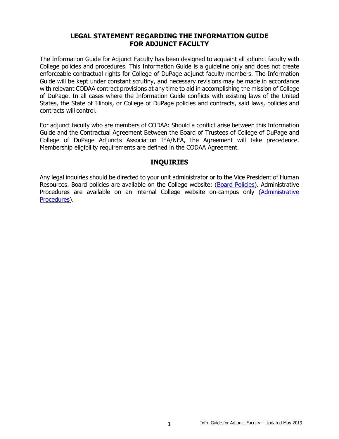# **LEGAL STATEMENT REGARDING THE INFORMATION GUIDE FOR ADJUNCT FACULTY**

<span id="page-2-0"></span>The Information Guide for Adjunct Faculty has been designed to acquaint all adjunct faculty with College policies and procedures. This Information Guide is a guideline only and does not create enforceable contractual rights for College of DuPage adjunct faculty members. The Information Guide will be kept under constant scrutiny, and necessary revisions may be made in accordance with relevant CODAA contract provisions at any time to aid in accomplishing the mission of College of DuPage. In all cases where the Information Guide conflicts with existing laws of the United States, the State of Illinois, or College of DuPage policies and contracts, said laws, policies and contracts will control.

For adjunct faculty who are members of CODAA: Should a conflict arise between this Information Guide and the Contractual Agreement Between the Board of Trustees of College of DuPage and College of DuPage Adjuncts Association IEA/NEA, the Agreement will take precedence. Membership eligibility requirements are defined in the CODAA Agreement.

# **INQUIRIES**

<span id="page-2-1"></span>Any legal inquiries should be directed to your unit administrator or to the Vice President of Human Resources. Board policies are available on the College website: [\(Board Policies\)](http://www.cod.edu/about/board_of_trustees/pdf/board_policies.pdf). Administrative Procedures are available on an internal College website on-campus only (Administrative [Procedures\)](https://inside.cod.edu/employees/Documents/AdministrativeProceduresManual.pdf).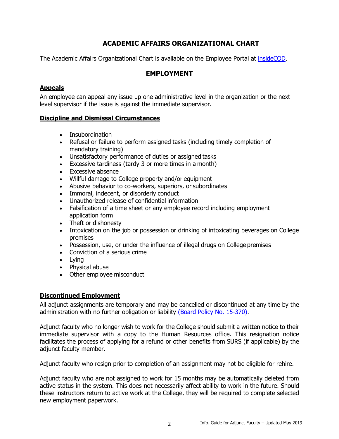# **ACADEMIC AFFAIRS ORGANIZATIONAL CHART**

<span id="page-3-1"></span><span id="page-3-0"></span>The Academic Affairs Organizational Chart is available on the Employee Portal at [insideCOD.](https://inside.cod.edu/employees/Organization%20Charts/Forms/Display%20View.aspx)

### <span id="page-3-2"></span>**EMPLOYMENT**

#### **Appeals**

An employee can appeal any issue up one administrative level in the organization or the next level supervisor if the issue is against the immediate supervisor.

#### **Discipline and Dismissal Circumstances**

- Insubordination
- Refusal or failure to perform assigned tasks (including timely completion of mandatory training)
- Unsatisfactory performance of duties or assigned tasks
- Excessive tardiness (tardy 3 or more times in a month)
- Excessive absence
- Willful damage to College property and/or equipment
- Abusive behavior to co-workers, superiors, or subordinates
- Immoral, indecent, or disorderly conduct
- Unauthorized release of confidential information
- Falsification of a time sheet or any employee record including employment application form
- Theft or dishonesty
- Intoxication on the job or possession or drinking of intoxicating beverages on College premises
- Possession, use, or under the influence of illegal drugs on College premises
- Conviction of a serious crime
- Lying
- Physical abuse
- Other employee misconduct

#### <span id="page-3-3"></span>**Discontinued Employment**

All adjunct assignments are temporary and may be cancelled or discontinued at any time by the administration with no further obligation or liability [\(Board Policy No. 15-370\).](http://www.cod.edu/about/board_of_trustees/pdf/board_policies.pdf)

Adjunct faculty who no longer wish to work for the College should submit a written notice to their immediate supervisor with a copy to the Human Resources office. This resignation notice facilitates the process of applying for a refund or other benefits from SURS (if applicable) by the adjunct faculty member.

Adjunct faculty who resign prior to completion of an assignment may not be eligible for rehire.

Adjunct faculty who are not assigned to work for 15 months may be automatically deleted from active status in the system. This does not necessarily affect ability to work in the future. Should these instructors return to active work at the College, they will be required to complete selected new employment paperwork.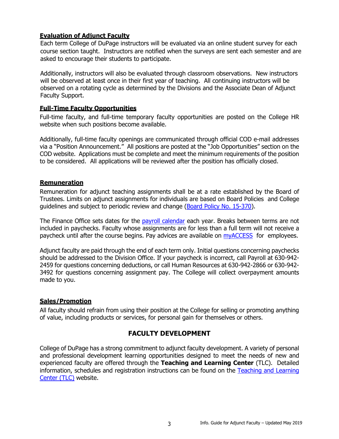#### <span id="page-4-0"></span>**Evaluation of Adjunct Faculty**

 Each term College of DuPage instructors will be evaluated via an online student survey for each course section taught. Instructors are notified when the surveys are sent each semester and are asked to encourage their students to participate.

 Additionally, instructors will also be evaluated through classroom observations. New instructors will be observed at least once in their first year of teaching. All continuing instructors will be observed on a rotating cycle as determined by the Divisions and the Associate Dean of Adjunct Faculty Support.

#### <span id="page-4-1"></span>**Full-Time Faculty Opportunities**

Full-time faculty, and full-time temporary faculty opportunities are posted on the College HR website when such positions become available.

Additionally, full-time faculty openings are communicated through official COD e-mail addresses via a "Position Announcement." All positions are posted at the "Job Opportunities" section on the COD website. Applications must be complete and meet the minimum requirements of the position to be considered. All applications will be reviewed after the position has officially closed.

#### <span id="page-4-2"></span>**Remuneration**

Remuneration for adjunct teaching assignments shall be at a rate established by the Board of Trustees. Limits on adjunct assignments for individuals are based on Board Policies and College guidelines and subject to periodic review and change [\(Board Policy No. 15-370\)](http://www.cod.edu/about/board_of_trustees/pdf/board_policies.pdf).

The Finance Office sets dates for the [payroll calendar](http://www.cod.edu/about/humanresources/pdf/payroll-sched.pdf) each year. Breaks between terms are not included in paychecks. Faculty whose assignments are for less than a full term will not receive a paycheck until after the course begins. Pay advices are available on [myACCESS](https://myaccess.cod.edu/WebAdvisor/WebAdvisor?&TYPE=M&PID=CORE-WBMAIN&TOKENIDX=2667161406) for employees.

Adjunct faculty are paid through the end of each term only. Initial questions concerning paychecks should be addressed to the Division Office. If your paycheck is incorrect, call Payroll at 630-942- 2459 for questions concerning deductions, or call Human Resources at 630-942-2866 or 630-942- 3492 for questions concerning assignment pay. The College will collect overpayment amounts made to you.

#### <span id="page-4-3"></span>**Sales/Promotion**

All faculty should refrain from using their position at the College for selling or promoting anything of value, including products or services, for personal gain for themselves or others.

#### **FACULTY DEVELOPMENT**

<span id="page-4-4"></span>College of DuPage has a strong commitment to adjunct faculty development. A variety of personal and professional development learning opportunities designed to meet the needs of new and experienced faculty are offered through the **Teaching and Learning Center** (TLC). Detailed information, schedules and registration instructions can be found on the [Teaching and Learning](http://www.cod.edu/tlc/)  [Center \(TLC\)](http://www.cod.edu/tlc/) website.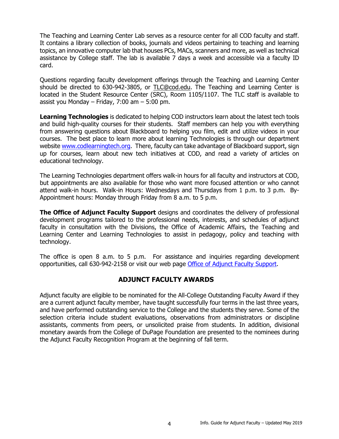The Teaching and Learning Center Lab serves as a resource center for all COD faculty and staff. It contains a library collection of books, journals and videos pertaining to teaching and learning topics, an innovative computer lab that houses PCs, MACs, scanners and more, as well as technical assistance by College staff. The lab is available 7 days a week and accessible via a faculty ID card.

Questions regarding faculty development offerings through the Teaching and Learning Center should be directed to 630-942-3805, or [TLC@cod.edu.](mailto:TLC@cod.edu) The Teaching and Learning Center is located in the Student Resource Center (SRC), Room 1105/1107. The TLC staff is available to assist you Monday – Friday,  $7:00$  am –  $5:00$  pm.

**Learning Technologies** is dedicated to helping COD instructors learn about the latest tech tools and build high-quality courses for their students. Staff members can help you with everything from answering questions about Blackboard to helping you film, edit and utilize videos in your courses. The best place to learn more about learning Technologies is through our department website [www.codlearningtech.org.](http://www.codlearningtech.org/) There, faculty can take advantage of Blackboard support, sign up for courses, learn about new tech initiatives at COD, and read a variety of articles on educational technology.

The Learning Technologies department offers walk-in hours for all faculty and instructors at COD, but appointments are also available for those who want more focused attention or who cannot attend walk-in hours. Walk-in Hours: Wednesdays and Thursdays from 1 p.m. to 3 p.m. By-Appointment hours: Monday through Friday from 8 a.m. to 5 p.m.

**The Office of Adjunct Faculty Support** designs and coordinates the delivery of professional development programs tailored to the professional needs, interests, and schedules of adjunct faculty in consultation with the Divisions, the Office of Academic Affairs, the Teaching and Learning Center and Learning Technologies to assist in pedagogy, policy and teaching with technology.

The office is open 8 a.m. to 5 p.m. For assistance and inquiries regarding development opportunities, call 630-942-2158 or visit our web page [Office of Adjunct Faculty Support.](https://www.cod.edu/academics/faculty/adjunct-faculty/)

# **ADJUNCT FACULTY AWARDS**

<span id="page-5-0"></span>Adjunct faculty are eligible to be nominated for the All-College Outstanding Faculty Award if they are a current adjunct faculty member, have taught successfully four terms in the last three years, and have performed outstanding service to the College and the students they serve. Some of the selection criteria include student evaluations, observations from administrators or discipline assistants, comments from peers, or unsolicited praise from students. In addition, divisional monetary awards from the College of DuPage Foundation are presented to the nominees during the Adjunct Faculty Recognition Program at the beginning of fall term.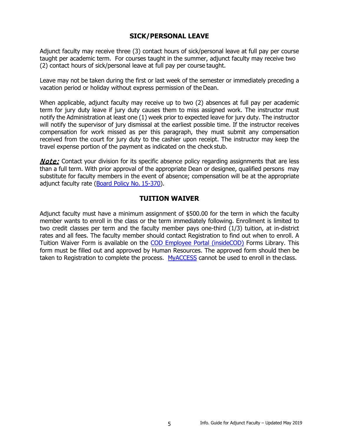# **SICK/PERSONAL LEAVE**

<span id="page-6-0"></span>Adjunct faculty may receive three (3) contact hours of sick/personal leave at full pay per course taught per academic term. For courses taught in the summer, adjunct faculty may receive two (2) contact hours of sick/personal leave at full pay per course taught.

Leave may not be taken during the first or last week of the semester or immediately preceding a vacation period or holiday without express permission of theDean.

When applicable, adjunct faculty may receive up to two (2) absences at full pay per academic term for jury duty leave if jury duty causes them to miss assigned work. The instructor must notify the Administration at least one (1) week prior to expected leave for jury duty. The instructor will notify the supervisor of jury dismissal at the earliest possible time. If the instructor receives compensation for work missed as per this paragraph, they must submit any compensation received from the court for jury duty to the cashier upon receipt. The instructor may keep the travel expense portion of the payment as indicated on the check stub.

**Note:** Contact your division for its specific absence policy regarding assignments that are less than a full term. With prior approval of the appropriate Dean or designee, qualified persons may substitute for faculty members in the event of absence; compensation will be at the appropriate adjunct faculty rate [\(Board Policy No.](http://www.cod.edu/about/board_of_trustees/pdf/board_policies.pdf) 15-370).

#### **TUITION WAIVER**

<span id="page-6-1"></span>Adjunct faculty must have a minimum assignment of \$500.00 for the term in which the faculty member wants to enroll in the class or the term immediately following. Enrollment is limited to two credit classes per term and the faculty member pays one-third (1/3) tuition, at in-district rates and all fees. The faculty member should contact Registration to find out when to enroll. A Tuition Waiver Form is available on the [COD Employee Portal \(insideCOD\)](https://inside.cod.edu/employees/Pages/default.aspx) Forms Library. This form must be filled out and approved by Human Resources. The approved form should then be taken to Registration to complete the process. [MyACCESS](https://myaccess.cod.edu/WebAdvisor/WebAdvisor?&TYPE=M&PID=CORE-WBMAIN&TOKENIDX=2667161406) cannot be used to enroll in the class.